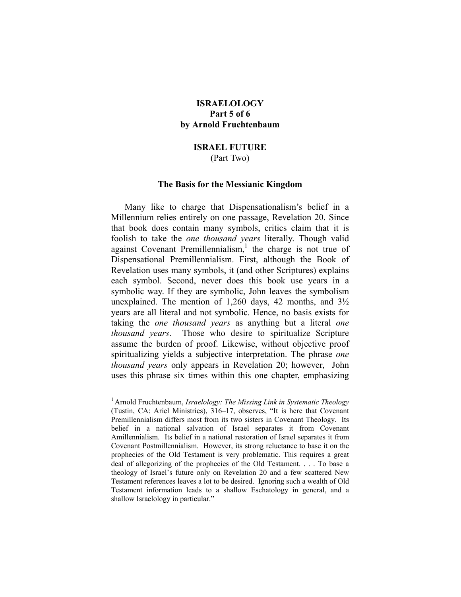# **ISRAELOLOGY Part 5 of 6 by Arnold Fruchtenbaum**

## **ISRAEL FUTURE**  (Part Two)

### **The Basis for the Messianic Kingdom**

Many like to charge that Dispensationalism's belief in a Millennium relies entirely on one passage, Revelation 20. Since that book does contain many symbols, critics claim that it is foolish to take the *one thousand years* literally. Though valid against Covenant Premillennialism,<sup>[1](#page-0-0)</sup> the charge is not true of Dispensational Premillennialism. First, although the Book of Revelation uses many symbols, it (and other Scriptures) explains each symbol. Second, never does this book use years in a symbolic way. If they are symbolic, John leaves the symbolism unexplained. The mention of 1,260 days, 42 months, and  $3\frac{1}{2}$ years are all literal and not symbolic. Hence, no basis exists for taking the *one thousand years* as anything but a literal *one thousand years*. Those who desire to spiritualize Scripture assume the burden of proof. Likewise, without objective proof spiritualizing yields a subjective interpretation. The phrase *one thousand years* only appears in Revelation 20; however, John uses this phrase six times within this one chapter, emphasizing

<span id="page-0-0"></span><sup>1</sup> Arnold Fruchtenbaum, *Israelology: The Missing Link in Systematic Theology* (Tustin, CA: Ariel Ministries), 316–17, observes, "It is here that Covenant Premillennialism differs most from its two sisters in Covenant Theology. Its belief in a national salvation of Israel separates it from Covenant Amillennialism. Its belief in a national restoration of Israel separates it from Covenant Postmillennialism. However, its strong reluctance to base it on the prophecies of the Old Testament is very problematic. This requires a great deal of allegorizing of the prophecies of the Old Testament. . . . To base a theology of Israel's future only on Revelation 20 and a few scattered New Testament references leaves a lot to be desired. Ignoring such a wealth of Old Testament information leads to a shallow Eschatology in general, and a shallow Israelology in particular."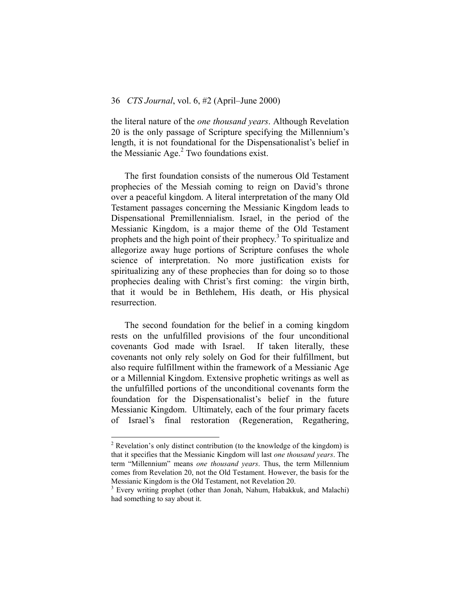## 36 *CTS Journal*, vol. 6, #2 (April–June 2000)

the literal nature of the *one thousand years*. Although Revelation 20 is the only passage of Scripture specifying the Millennium's length, it is not foundational for the Dispensationalist's belief in the Messianic Age.<sup>2</sup> Two foundations exist.

The first foundation consists of the numerous Old Testament prophecies of the Messiah coming to reign on David's throne over a peaceful kingdom. A literal interpretation of the many Old Testament passages concerning the Messianic Kingdom leads to Dispensational Premillennialism. Israel, in the period of the Messianic Kingdom, is a major theme of the Old Testament prophets and the high point of their prophecy.<sup>[3](#page-1-1)</sup> To spiritualize and allegorize away huge portions of Scripture confuses the whole science of interpretation. No more justification exists for spiritualizing any of these prophecies than for doing so to those prophecies dealing with Christ's first coming: the virgin birth, that it would be in Bethlehem, His death, or His physical resurrection.

The second foundation for the belief in a coming kingdom rests on the unfulfilled provisions of the four unconditional covenants God made with Israel. If taken literally, these covenants not only rely solely on God for their fulfillment, but also require fulfillment within the framework of a Messianic Age or a Millennial Kingdom. Extensive prophetic writings as well as the unfulfilled portions of the unconditional covenants form the foundation for the Dispensationalist's belief in the future Messianic Kingdom. Ultimately, each of the four primary facets of Israel's final restoration (Regeneration, Regathering,

<span id="page-1-0"></span> $2^2$  Revelation's only distinct contribution (to the knowledge of the kingdom) is that it specifies that the Messianic Kingdom will last *one thousand years*. The term "Millennium" means *one thousand years*. Thus, the term Millennium comes from Revelation 20, not the Old Testament. However, the basis for the Messianic Kingdom is the Old Testament, not Revelation 20.

<span id="page-1-1"></span><sup>&</sup>lt;sup>3</sup> Every writing prophet (other than Jonah, Nahum, Habakkuk, and Malachi) had something to say about it.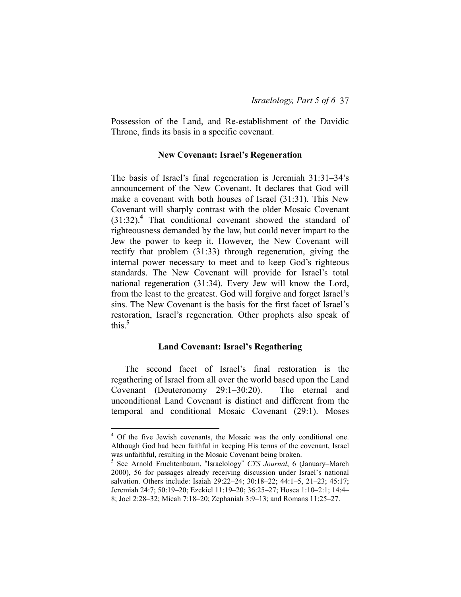Possession of the Land, and Re-establishment of the Davidic Throne, finds its basis in a specific covenant.

## **New Covenant: Israel's Regeneration**

The basis of Israel's final regeneration is Jeremiah 31:31–34's announcement of the New Covenant. It declares that God will make a covenant with both houses of Israel (31:31). This New Covenant will sharply contrast with the older Mosaic Covenant (31:32).**[4](#page-2-0)** That conditional covenant showed the standard of righteousness demanded by the law, but could never impart to the Jew the power to keep it. However, the New Covenant will rectify that problem (31:33) through regeneration, giving the internal power necessary to meet and to keep God's righteous standards. The New Covenant will provide for Israel's total national regeneration (31:34). Every Jew will know the Lord, from the least to the greatest. God will forgive and forget Israel's sins. The New Covenant is the basis for the first facet of Israel's restoration, Israel's regeneration. Other prophets also speak of this.**[5](#page-2-1)**

## **Land Covenant: Israel's Regathering**

The second facet of Israel's final restoration is the regathering of Israel from all over the world based upon the Land Covenant (Deuteronomy 29:1–30:20). The eternal and unconditional Land Covenant is distinct and different from the temporal and conditional Mosaic Covenant (29:1). Moses

<span id="page-2-0"></span><sup>&</sup>lt;sup>4</sup> Of the five Jewish covenants, the Mosaic was the only conditional one. Although God had been faithful in keeping His terms of the covenant, Israel was unfaithful, resulting in the Mosaic Covenant being broken.

<span id="page-2-1"></span><sup>5</sup> See Arnold Fruchtenbaum, "Israelology" *CTS Journal*, 6 (January–March 2000), 56 for passages already receiving discussion under Israel's national salvation. Others include: Isaiah 29:22–24; 30:18–22; 44:1–5, 21–23; 45:17; Jeremiah 24:7; 50:19–20; Ezekiel 11:19–20; 36:25–27; Hosea 1:10–2:1; 14:4– 8; Joel 2:28–32; Micah 7:18–20; Zephaniah 3:9–13; and Romans 11:25–27.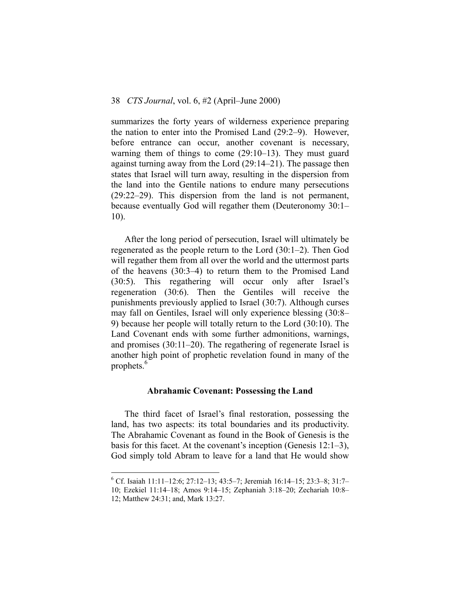summarizes the forty years of wilderness experience preparing the nation to enter into the Promised Land (29:2–9). However, before entrance can occur, another covenant is necessary, warning them of things to come (29:10–13). They must guard against turning away from the Lord (29:14–21). The passage then states that Israel will turn away, resulting in the dispersion from the land into the Gentile nations to endure many persecutions (29:22–29). This dispersion from the land is not permanent, because eventually God will regather them (Deuteronomy 30:1– 10).

After the long period of persecution, Israel will ultimately be regenerated as the people return to the Lord (30:1–2). Then God will regather them from all over the world and the uttermost parts of the heavens (30:3–4) to return them to the Promised Land (30:5). This regathering will occur only after Israel's regeneration (30:6). Then the Gentiles will receive the punishments previously applied to Israel (30:7). Although curses may fall on Gentiles, Israel will only experience blessing (30:8– 9) because her people will totally return to the Lord (30:10). The Land Covenant ends with some further admonitions, warnings, and promises (30:11–20). The regathering of regenerate Israel is another high point of prophetic revelation found in many of the prophets. $6$ 

## **Abrahamic Covenant: Possessing the Land**

The third facet of Israel's final restoration, possessing the land, has two aspects: its total boundaries and its productivity. The Abrahamic Covenant as found in the Book of Genesis is the basis for this facet. At the covenant's inception (Genesis 12:1–3), God simply told Abram to leave for a land that He would show

<span id="page-3-0"></span><sup>6</sup> Cf. Isaiah 11:11–12:6; 27:12–13; 43:5–7; Jeremiah 16:14–15; 23:3–8; 31:7–

<sup>10;</sup> Ezekiel 11:14–18; Amos 9:14–15; Zephaniah 3:18–20; Zechariah 10:8– 12; Matthew 24:31; and, Mark 13:27.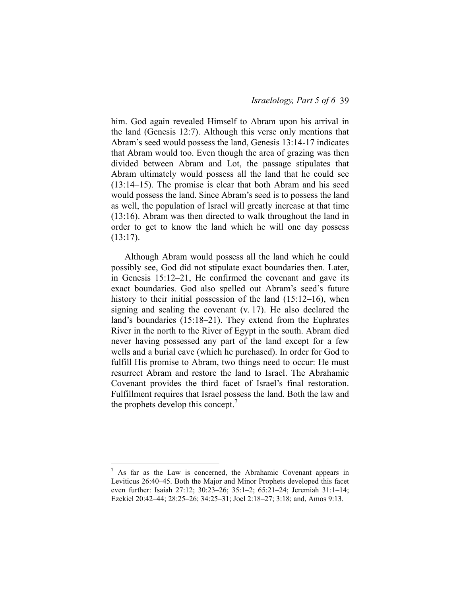him. God again revealed Himself to Abram upon his arrival in the land (Genesis 12:7). Although this verse only mentions that Abram's seed would possess the land, Genesis 13:14-17 indicates that Abram would too. Even though the area of grazing was then divided between Abram and Lot, the passage stipulates that Abram ultimately would possess all the land that he could see (13:14–15). The promise is clear that both Abram and his seed would possess the land. Since Abram's seed is to possess the land as well, the population of Israel will greatly increase at that time (13:16). Abram was then directed to walk throughout the land in order to get to know the land which he will one day possess  $(13:17)$ .

Although Abram would possess all the land which he could possibly see, God did not stipulate exact boundaries then. Later, in Genesis 15:12–21, He confirmed the covenant and gave its exact boundaries. God also spelled out Abram's seed's future history to their initial possession of the land (15:12–16), when signing and sealing the covenant (v. 17). He also declared the land's boundaries (15:18–21). They extend from the Euphrates River in the north to the River of Egypt in the south. Abram died never having possessed any part of the land except for a few wells and a burial cave (which he purchased). In order for God to fulfill His promise to Abram, two things need to occur: He must resurrect Abram and restore the land to Israel. The Abrahamic Covenant provides the third facet of Israel's final restoration. Fulfillment requires that Israel possess the land. Both the law and the prophets develop this concept.<sup>[7](#page-4-0)</sup>

<u>.</u>

<span id="page-4-0"></span> $7$  As far as the Law is concerned, the Abrahamic Covenant appears in Leviticus 26:40–45. Both the Major and Minor Prophets developed this facet even further: Isaiah 27:12; 30:23–26; 35:1–2; 65:21–24; Jeremiah 31:1–14; Ezekiel 20:42–44; 28:25–26; 34:25–31; Joel 2:18–27; 3:18; and, Amos 9:13.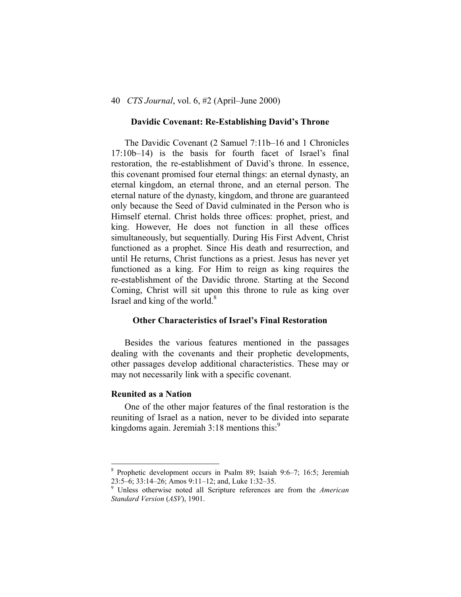#### **Davidic Covenant: Re-Establishing David's Throne**

The Davidic Covenant (2 Samuel 7:11b–16 and 1 Chronicles 17:10b–14) is the basis for fourth facet of Israel's final restoration, the re-establishment of David's throne. In essence, this covenant promised four eternal things: an eternal dynasty, an eternal kingdom, an eternal throne, and an eternal person. The eternal nature of the dynasty, kingdom, and throne are guaranteed only because the Seed of David culminated in the Person who is Himself eternal. Christ holds three offices: prophet, priest, and king. However, He does not function in all these offices simultaneously, but sequentially. During His First Advent, Christ functioned as a prophet. Since His death and resurrection, and until He returns, Christ functions as a priest. Jesus has never yet functioned as a king. For Him to reign as king requires the re-establishment of the Davidic throne. Starting at the Second Coming, Christ will sit upon this throne to rule as king over Israel and king of the world.<sup>[8](#page-5-0)</sup>

## **Other Characteristics of Israel's Final Restoration**

Besides the various features mentioned in the passages dealing with the covenants and their prophetic developments, other passages develop additional characteristics. These may or may not necessarily link with a specific covenant.

## **Reunited as a Nation**

<u>.</u>

One of the other major features of the final restoration is the reuniting of Israel as a nation, never to be divided into separate kingdoms again. Jeremiah  $3:18$  mentions this:<sup>[9](#page-5-1)</sup>

<span id="page-5-0"></span><sup>8</sup> Prophetic development occurs in Psalm 89; Isaiah 9:6–7; 16:5; Jeremiah 23:5–6; 33:14–26; Amos 9:11–12; and, Luke 1:32–35. 9 Unless otherwise noted all Scripture references are from the *American* 

<span id="page-5-1"></span>*Standard Version* (*ASV*), 1901.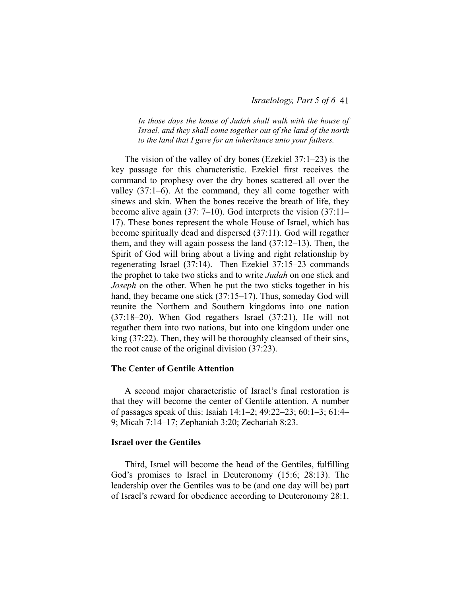#### *Israelology, Part 5 of 6* 41

*In those days the house of Judah shall walk with the house of Israel, and they shall come together out of the land of the north to the land that I gave for an inheritance unto your fathers.* 

The vision of the valley of dry bones (Ezekiel 37:1–23) is the key passage for this characteristic. Ezekiel first receives the command to prophesy over the dry bones scattered all over the valley (37:1–6). At the command, they all come together with sinews and skin. When the bones receive the breath of life, they become alive again (37: 7–10). God interprets the vision (37:11– 17). These bones represent the whole House of Israel, which has become spiritually dead and dispersed (37:11). God will regather them, and they will again possess the land (37:12–13). Then, the Spirit of God will bring about a living and right relationship by regenerating Israel (37:14). Then Ezekiel 37:15–23 commands the prophet to take two sticks and to write *Judah* on one stick and *Joseph* on the other. When he put the two sticks together in his hand, they became one stick (37:15–17). Thus, someday God will reunite the Northern and Southern kingdoms into one nation (37:18–20). When God regathers Israel (37:21), He will not regather them into two nations, but into one kingdom under one king (37:22). Then, they will be thoroughly cleansed of their sins, the root cause of the original division (37:23).

## **The Center of Gentile Attention**

A second major characteristic of Israel's final restoration is that they will become the center of Gentile attention. A number of passages speak of this: Isaiah 14:1–2; 49:22–23; 60:1–3; 61:4– 9; Micah 7:14–17; Zephaniah 3:20; Zechariah 8:23.

#### **Israel over the Gentiles**

Third, Israel will become the head of the Gentiles, fulfilling God's promises to Israel in Deuteronomy (15:6; 28:13). The leadership over the Gentiles was to be (and one day will be) part of Israel's reward for obedience according to Deuteronomy 28:1.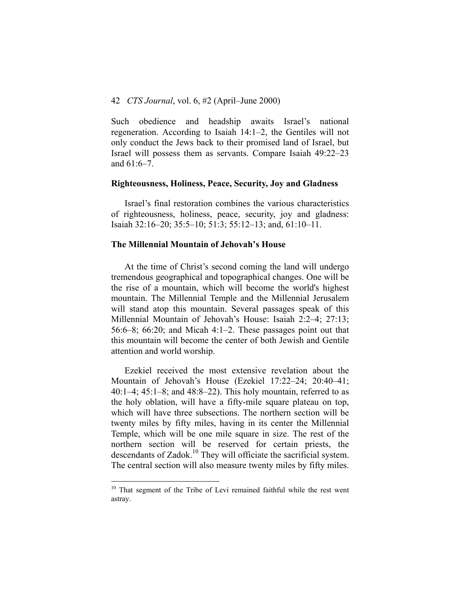Such obedience and headship awaits Israel's national regeneration. According to Isaiah 14:1–2, the Gentiles will not only conduct the Jews back to their promised land of Israel, but Israel will possess them as servants. Compare Isaiah 49:22–23 and 61:6–7.

#### **Righteousness, Holiness, Peace, Security, Joy and Gladness**

Israel's final restoration combines the various characteristics of righteousness, holiness, peace, security, joy and gladness: Isaiah 32:16–20; 35:5–10; 51:3; 55:12–13; and, 61:10–11.

## **The Millennial Mountain of Jehovah's House**

At the time of Christ's second coming the land will undergo tremendous geographical and topographical changes. One will be the rise of a mountain, which will become the world's highest mountain. The Millennial Temple and the Millennial Jerusalem will stand atop this mountain. Several passages speak of this Millennial Mountain of Jehovah's House: Isaiah 2:2–4; 27:13; 56:6–8; 66:20; and Micah 4:1–2. These passages point out that this mountain will become the center of both Jewish and Gentile attention and world worship.

Ezekiel received the most extensive revelation about the Mountain of Jehovah's House (Ezekiel 17:22–24; 20:40–41; 40:1–4; 45:1–8; and 48:8–22). This holy mountain, referred to as the holy oblation, will have a fifty-mile square plateau on top, which will have three subsections. The northern section will be twenty miles by fifty miles, having in its center the Millennial Temple, which will be one mile square in size. The rest of the northern section will be reserved for certain priests, the descendants of Zadok.<sup>10</sup> They will officiate the sacrificial system. The central section will also measure twenty miles by fifty miles.

<span id="page-7-0"></span> $10$  That segment of the Tribe of Levi remained faithful while the rest went astray.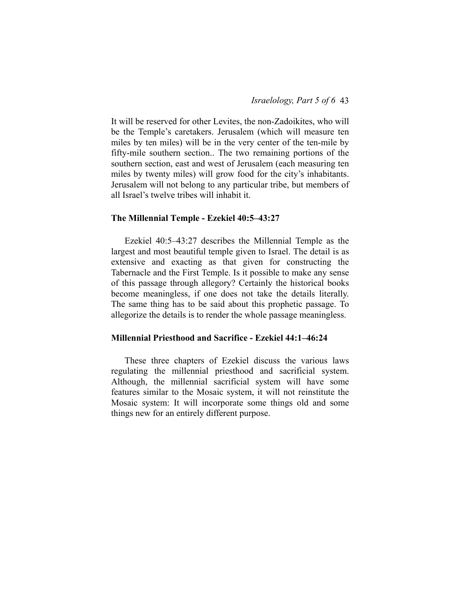It will be reserved for other Levites, the non-Zadoikites, who will be the Temple's caretakers. Jerusalem (which will measure ten miles by ten miles) will be in the very center of the ten-mile by fifty-mile southern section.. The two remaining portions of the southern section, east and west of Jerusalem (each measuring ten miles by twenty miles) will grow food for the city's inhabitants. Jerusalem will not belong to any particular tribe, but members of all Israel's twelve tribes will inhabit it.

#### **The Millennial Temple - Ezekiel 40:5–43:27**

Ezekiel 40:5–43:27 describes the Millennial Temple as the largest and most beautiful temple given to Israel. The detail is as extensive and exacting as that given for constructing the Tabernacle and the First Temple. Is it possible to make any sense of this passage through allegory? Certainly the historical books become meaningless, if one does not take the details literally. The same thing has to be said about this prophetic passage. To allegorize the details is to render the whole passage meaningless.

## **Millennial Priesthood and Sacrifice - Ezekiel 44:1–46:24**

These three chapters of Ezekiel discuss the various laws regulating the millennial priesthood and sacrificial system. Although, the millennial sacrificial system will have some features similar to the Mosaic system, it will not reinstitute the Mosaic system: It will incorporate some things old and some things new for an entirely different purpose.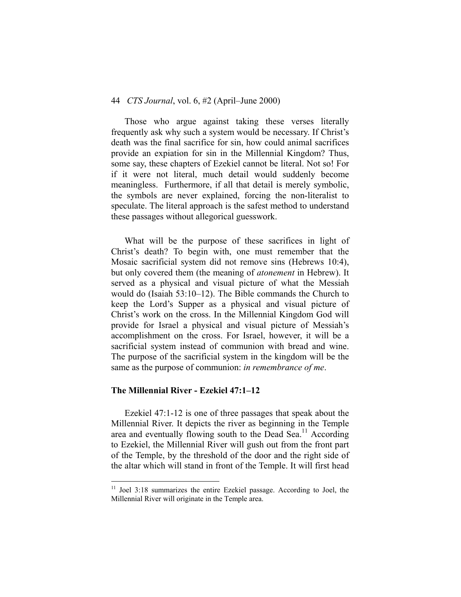## 44 *CTS Journal*, vol. 6, #2 (April–June 2000)

Those who argue against taking these verses literally frequently ask why such a system would be necessary. If Christ's death was the final sacrifice for sin, how could animal sacrifices provide an expiation for sin in the Millennial Kingdom? Thus, some say, these chapters of Ezekiel cannot be literal. Not so! For if it were not literal, much detail would suddenly become meaningless. Furthermore, if all that detail is merely symbolic, the symbols are never explained, forcing the non-literalist to speculate. The literal approach is the safest method to understand these passages without allegorical guesswork.

What will be the purpose of these sacrifices in light of Christ's death? To begin with, one must remember that the Mosaic sacrificial system did not remove sins (Hebrews 10:4), but only covered them (the meaning of *atonement* in Hebrew). It served as a physical and visual picture of what the Messiah would do (Isaiah 53:10–12). The Bible commands the Church to keep the Lord's Supper as a physical and visual picture of Christ's work on the cross. In the Millennial Kingdom God will provide for Israel a physical and visual picture of Messiah's accomplishment on the cross. For Israel, however, it will be a sacrificial system instead of communion with bread and wine. The purpose of the sacrificial system in the kingdom will be the same as the purpose of communion: *in remembrance of me*.

### **The Millennial River - Ezekiel 47:1–12**

1

Ezekiel 47:1-12 is one of three passages that speak about the Millennial River. It depicts the river as beginning in the Temple area and eventually flowing south to the Dead Sea.<sup>11</sup> According to Ezekiel, the Millennial River will gush out from the front part of the Temple, by the threshold of the door and the right side of the altar which will stand in front of the Temple. It will first head

<span id="page-9-0"></span> $11$  Joel 3:18 summarizes the entire Ezekiel passage. According to Joel, the Millennial River will originate in the Temple area.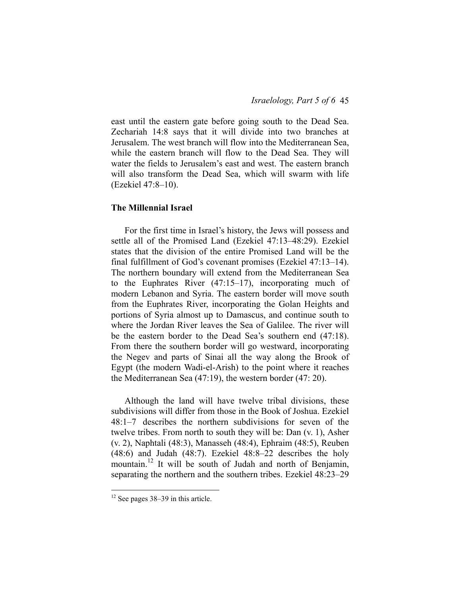east until the eastern gate before going south to the Dead Sea. Zechariah 14:8 says that it will divide into two branches at Jerusalem. The west branch will flow into the Mediterranean Sea, while the eastern branch will flow to the Dead Sea. They will water the fields to Jerusalem's east and west. The eastern branch will also transform the Dead Sea, which will swarm with life (Ezekiel 47:8–10).

# **The Millennial Israel**

For the first time in Israel's history, the Jews will possess and settle all of the Promised Land (Ezekiel 47:13–48:29). Ezekiel states that the division of the entire Promised Land will be the final fulfillment of God's covenant promises (Ezekiel 47:13–14). The northern boundary will extend from the Mediterranean Sea to the Euphrates River (47:15–17), incorporating much of modern Lebanon and Syria. The eastern border will move south from the Euphrates River, incorporating the Golan Heights and portions of Syria almost up to Damascus, and continue south to where the Jordan River leaves the Sea of Galilee. The river will be the eastern border to the Dead Sea's southern end (47:18). From there the southern border will go westward, incorporating the Negev and parts of Sinai all the way along the Brook of Egypt (the modern Wadi-el-Arish) to the point where it reaches the Mediterranean Sea (47:19), the western border (47: 20).

Although the land will have twelve tribal divisions, these subdivisions will differ from those in the Book of Joshua. Ezekiel 48:1–7 describes the northern subdivisions for seven of the twelve tribes. From north to south they will be: Dan (v. 1), Asher (v. 2), Naphtali (48:3), Manasseh (48:4), Ephraim (48:5), Reuben (48:6) and Judah (48:7). Ezekiel 48:8–22 describes the holy mountain.<sup>12</sup> It will be south of Judah and north of Benjamin, separating the northern and the southern tribes. Ezekiel 48:23–29

<span id="page-10-0"></span> $12$  See pages 38–39 in this article.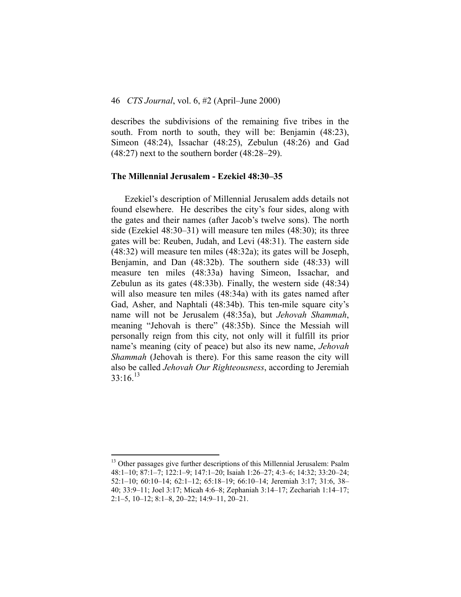## 46 *CTS Journal*, vol. 6, #2 (April–June 2000)

describes the subdivisions of the remaining five tribes in the south. From north to south, they will be: Benjamin (48:23), Simeon (48:24), Issachar (48:25), Zebulun (48:26) and Gad (48:27) next to the southern border (48:28–29).

#### **The Millennial Jerusalem - Ezekiel 48:30–35**

Ezekiel's description of Millennial Jerusalem adds details not found elsewhere. He describes the city's four sides, along with the gates and their names (after Jacob's twelve sons). The north side (Ezekiel 48:30–31) will measure ten miles (48:30); its three gates will be: Reuben, Judah, and Levi (48:31). The eastern side (48:32) will measure ten miles (48:32a); its gates will be Joseph, Benjamin, and Dan (48:32b). The southern side (48:33) will measure ten miles (48:33a) having Simeon, Issachar, and Zebulun as its gates (48:33b). Finally, the western side (48:34) will also measure ten miles (48:34a) with its gates named after Gad, Asher, and Naphtali (48:34b). This ten-mile square city's name will not be Jerusalem (48:35a), but *Jehovah Shammah*, meaning "Jehovah is there" (48:35b). Since the Messiah will personally reign from this city, not only will it fulfill its prior name's meaning (city of peace) but also its new name, *Jehovah Shammah* (Jehovah is there). For this same reason the city will also be called *Jehovah Our Righteousness*, according to Jeremiah  $33:16^{13}$  $33:16^{13}$  $33:16^{13}$ 

<span id="page-11-0"></span><sup>&</sup>lt;sup>13</sup> Other passages give further descriptions of this Millennial Jerusalem: Psalm 48:1–10; 87:1–7; 122:1–9; 147:1–20; Isaiah 1:26–27; 4:3–6; 14:32; 33:20–24; 52:1–10; 60:10–14; 62:1–12; 65:18–19; 66:10–14; Jeremiah 3:17; 31:6, 38– 40; 33:9–11; Joel 3:17; Micah 4:6–8; Zephaniah 3:14–17; Zechariah 1:14–17; 2:1–5, 10–12; 8:1–8, 20–22; 14:9–11, 20–21.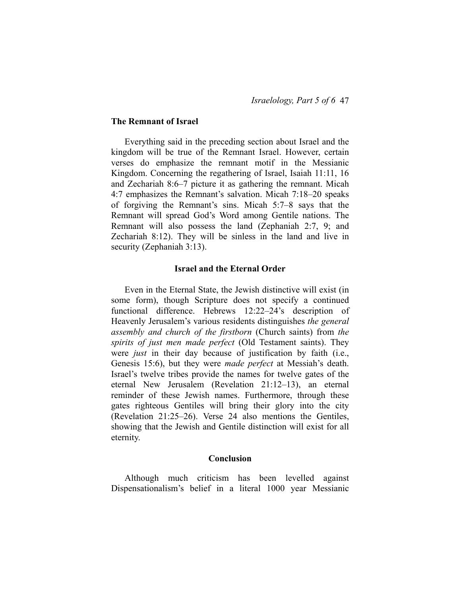## **The Remnant of Israel**

Everything said in the preceding section about Israel and the kingdom will be true of the Remnant Israel. However, certain verses do emphasize the remnant motif in the Messianic Kingdom. Concerning the regathering of Israel, Isaiah 11:11, 16 and Zechariah 8:6–7 picture it as gathering the remnant. Micah 4:7 emphasizes the Remnant's salvation. Micah 7:18–20 speaks of forgiving the Remnant's sins. Micah 5:7–8 says that the Remnant will spread God's Word among Gentile nations. The Remnant will also possess the land (Zephaniah 2:7, 9; and Zechariah 8:12). They will be sinless in the land and live in security (Zephaniah 3:13).

#### **Israel and the Eternal Order**

Even in the Eternal State, the Jewish distinctive will exist (in some form), though Scripture does not specify a continued functional difference. Hebrews 12:22–24's description of Heavenly Jerusalem's various residents distinguishes *the general assembly and church of the firstborn* (Church saints) from *the spirits of just men made perfect* (Old Testament saints). They were *just* in their day because of justification by faith (i.e., Genesis 15:6), but they were *made perfect* at Messiah's death. Israel's twelve tribes provide the names for twelve gates of the eternal New Jerusalem (Revelation 21:12–13), an eternal reminder of these Jewish names. Furthermore, through these gates righteous Gentiles will bring their glory into the city (Revelation 21:25–26). Verse 24 also mentions the Gentiles, showing that the Jewish and Gentile distinction will exist for all eternity.

#### **Conclusion**

Although much criticism has been levelled against Dispensationalism's belief in a literal 1000 year Messianic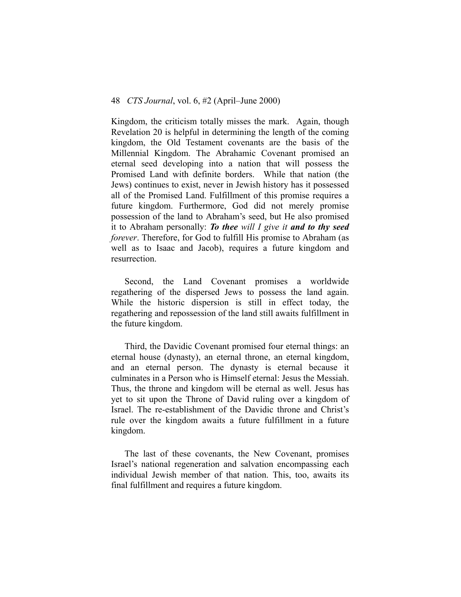Kingdom, the criticism totally misses the mark. Again, though Revelation 20 is helpful in determining the length of the coming kingdom, the Old Testament covenants are the basis of the Millennial Kingdom. The Abrahamic Covenant promised an eternal seed developing into a nation that will possess the Promised Land with definite borders. While that nation (the Jews) continues to exist, never in Jewish history has it possessed all of the Promised Land. Fulfillment of this promise requires a future kingdom. Furthermore, God did not merely promise possession of the land to Abraham's seed, but He also promised it to Abraham personally: *To thee will I give it and to thy seed forever*. Therefore, for God to fulfill His promise to Abraham (as well as to Isaac and Jacob), requires a future kingdom and resurrection.

Second, the Land Covenant promises a worldwide regathering of the dispersed Jews to possess the land again. While the historic dispersion is still in effect today, the regathering and repossession of the land still awaits fulfillment in the future kingdom.

Third, the Davidic Covenant promised four eternal things: an eternal house (dynasty), an eternal throne, an eternal kingdom, and an eternal person. The dynasty is eternal because it culminates in a Person who is Himself eternal: Jesus the Messiah. Thus, the throne and kingdom will be eternal as well. Jesus has yet to sit upon the Throne of David ruling over a kingdom of Israel. The re-establishment of the Davidic throne and Christ's rule over the kingdom awaits a future fulfillment in a future kingdom.

The last of these covenants, the New Covenant, promises Israel's national regeneration and salvation encompassing each individual Jewish member of that nation. This, too, awaits its final fulfillment and requires a future kingdom.